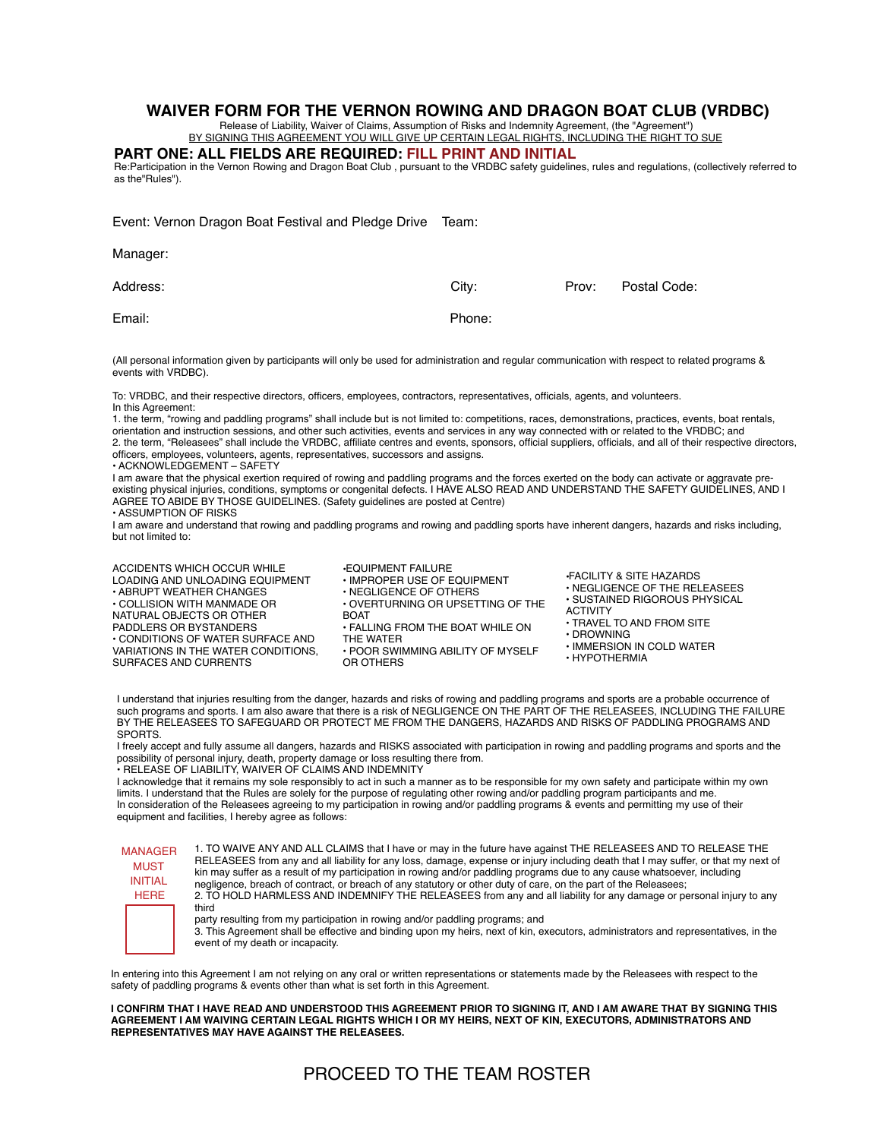## **WAIVER FORM FOR THE VERNON ROWING AND DRAGON BOAT CLUB (VRDBC)**

Release of Liability, Waiver of Claims, Assumption of Risks and Indemnity Agreement, (the "Agreement") BY SIGNING THIS AGREEMENT YOU WILL GIVE UP CERTAIN LEGAL RIGHTS, INCLUDING THE RIGHT TO SUE

**PART ONE: ALL FIELDS ARE REQUIRED: FILL PRINT AND INITIAL**

Re:Participation in the Vernon Rowing and Dragon Boat Club , pursuant to the VRDBC safety guidelines, rules and regulations, (collectively referred to as the"Rules").

| Event: Vernon Dragon Boat Festival and Pledge Drive | Team:  |       |              |
|-----------------------------------------------------|--------|-------|--------------|
| Manager:                                            |        |       |              |
| Address:                                            | City:  | Prov: | Postal Code: |
| Email:                                              | Phone: |       |              |

(All personal information given by participants will only be used for administration and regular communication with respect to related programs & events with VRDBC).

To: VRDBC, and their respective directors, officers, employees, contractors, representatives, officials, agents, and volunteers. In this Agreement:

1. the term, "rowing and paddling programs" shall include but is not limited to: competitions, races, demonstrations, practices, events, boat rentals, orientation and instruction sessions, and other such activities, events and services in any way connected with or related to the VRDBC; and 2. the term, "Releasees" shall include the VRDBC, affiliate centres and events, sponsors, official suppliers, officials, and all of their respective directors, officers, employees, volunteers, agents, representatives, successors and assigns.

• ACKNOWLEDGEMENT – SAFETY

I am aware that the physical exertion required of rowing and paddling programs and the forces exerted on the body can activate or aggravate preexisting physical injuries, conditions, symptoms or congenital defects. I HAVE ALSO READ AND UNDERSTAND THE SAFETY GUIDELINES, AND I AGREE TO ABIDE BY THOSE GUIDELINES. (Safety guidelines are posted at Centre)

• ASSUMPTION OF RISKS

I am aware and understand that rowing and paddling programs and rowing and paddling sports have inherent dangers, hazards and risks including, but not limited to:

ACCIDENTS WHICH OCCUR WHILE LOADING AND UNLOADING EQUIPMENT • ABRUPT WEATHER CHANGES • COLLISION WITH MANMADE OR NATURAL OBJECTS OR OTHER PADDLERS OR BYSTANDERS • CONDITIONS OF WATER SURFACE AND VARIATIONS IN THE WATER CONDITIONS, SURFACES AND CURRENTS

•EQUIPMENT FAILURE • IMPROPER USE OF EQUIPMENT • NEGLIGENCE OF OTHERS • OVERTURNING OR UPSETTING OF THE **BOAT** • FALLING FROM THE BOAT WHILE ON THE WATER • POOR SWIMMING ABILITY OF MYSELF OR OTHERS

•FACILITY & SITE HAZARDS • NEGLIGENCE OF THE RELEASEES • SUSTAINED RIGOROUS PHYSICAL ACTIVITY • TRAVEL TO AND FROM SITE

• DROWNING

- IMMERSION IN COLD WATER
- HYPOTHERMIA

I understand that injuries resulting from the danger, hazards and risks of rowing and paddling programs and sports are a probable occurrence of such programs and sports. I am also aware that there is a risk of NEGLIGENCE ON THE PART OF THE RELEASEES, INCLUDING THE FAILURE BY THE RELEASEES TO SAFEGUARD OR PROTECT ME FROM THE DANGERS, HAZARDS AND RISKS OF PADDLING PROGRAMS AND SPORTS.

I freely accept and fully assume all dangers, hazards and RISKS associated with participation in rowing and paddling programs and sports and the possibility of personal injury, death, property damage or loss resulting there from.

• RELEASE OF LIABILITY, WAIVER OF CLAIMS AND INDEMNITY I acknowledge that it remains my sole responsibly to act in such a manner as to be responsible for my own safety and participate within my own limits. I understand that the Rules are solely for the purpose of regulating other rowing and/or paddling program participants and me. In consideration of the Releasees agreeing to my participation in rowing and/or paddling programs & events and permitting my use of their equipment and facilities, I hereby agree as follows:

| <b>MANAGER</b><br><b>MUST</b><br><b>INITIAL</b><br><b>HERE</b> | 1. TO WAIVE ANY AND ALL CLAIMS that I have or may in the future have against THE RELEASEES AND TO RELEASE THE<br>RELEASEES from any and all liability for any loss, damage, expense or injury including death that I may suffer, or that my next of<br>kin may suffer as a result of my participation in rowing and/or paddling programs due to any cause whatsoever, including<br>negligence, breach of contract, or breach of any statutory or other duty of care, on the part of the Releasees;<br>2. TO HOLD HARMLESS AND INDEMNIFY THE RELEASEES from any and all liability for any damage or personal injury to any<br>third |
|----------------------------------------------------------------|------------------------------------------------------------------------------------------------------------------------------------------------------------------------------------------------------------------------------------------------------------------------------------------------------------------------------------------------------------------------------------------------------------------------------------------------------------------------------------------------------------------------------------------------------------------------------------------------------------------------------------|
|                                                                | party resulting from my participation in rowing and/or paddling programs; and<br>3. This Agreement shall be effective and binding upon my heirs, next of kin, executors, administrators and representatives, in the<br>event of my death or incapacity.                                                                                                                                                                                                                                                                                                                                                                            |

In entering into this Agreement I am not relying on any oral or written representations or statements made by the Releasees with respect to the safety of paddling programs & events other than what is set forth in this Agreement.

**I CONFIRM THAT I HAVE READ AND UNDERSTOOD THIS AGREEMENT PRIOR TO SIGNING IT, AND I AM AWARE THAT BY SIGNING THIS AGREEMENT I AM WAIVING CERTAIN LEGAL RIGHTS WHICH I OR MY HEIRS, NEXT OF KIN, EXECUTORS, ADMINISTRATORS AND REPRESENTATIVES MAY HAVE AGAINST THE RELEASEES.**